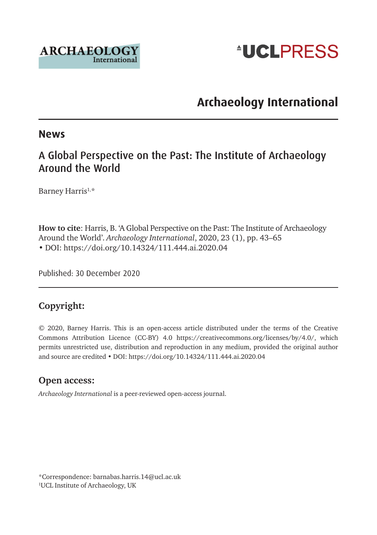



# **Archaeology International**

#### **News**

#### A Global Perspective on the Past: The Institute of Archaeology Around the World

Barney Harris<sup>1,\*</sup>

**How to cite**: Harris, B. 'A Global Perspective on the Past: The Institute of Archaeology Around the World'. *Archaeology International*, 2020, 23 (1), pp. 43–65 • DOI: <https://doi.org/10.14324/111.444.ai.2020.04>

Published: 30 December 2020

#### **Copyright:**

© 2020, Barney Harris. This is an open-access article distributed under the terms of the Creative Commons Attribution Licence (CC-BY) 4.0 <https://creativecommons.org/licenses/by/4.0/>, which permits unrestricted use, distribution and reproduction in any medium, provided the original author and source are credited • DOI:<https://doi.org/10.14324/111.444.ai.2020.04>

#### **Open access:**

*Archaeology International* is a peer-reviewed open-access journal.

\*Correspondence: [barnabas.harris.14@ucl.ac.uk](mailto:barnabas.harris.14@ucl.ac.uk) 1 UCL Institute of Archaeology, UK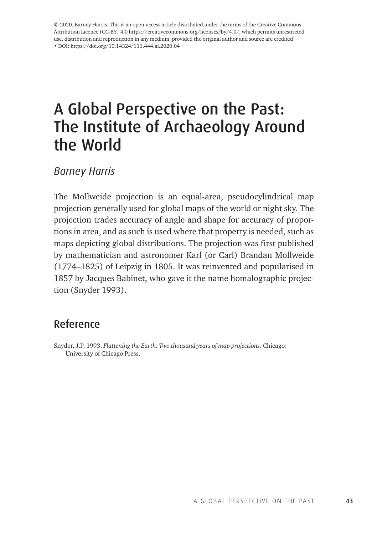© 2020, Barney Harris. This is an open-access article distributed under the terms of the Creative Commons Attribution Licence (CC-BY) 4.0 <https://creativecommons.org/licenses/by/4.0/>, which permits unrestricted use, distribution and reproduction in any medium, provided the original author and source are credited • DOI: <https://doi.org/10.14324/111.444.ai.2020.04>

# A Global Perspective on the Past: The Institute of Archaeology Around the World

*Barney Harris*

The Mollweide projection is an equal-area, pseudocylindrical map projection generally used for global maps of the world or night sky. The projection trades accuracy of angle and shape for accuracy of proportions in area, and as such is used where that property is needed, such as maps depicting global distributions. The projection was first published by mathematician and astronomer Karl (or Carl) Brandan Mollweide (1774–1825) of Leipzig in 1805. It was reinvented and popularised in 1857 by Jacques Babinet, who gave it the name homalographic projection (Snyder 1993).

#### Reference

Snyder, J.P. 1993. *Flattening the Earth: Two thousand years of map projections.* Chicago: University of Chicago Press.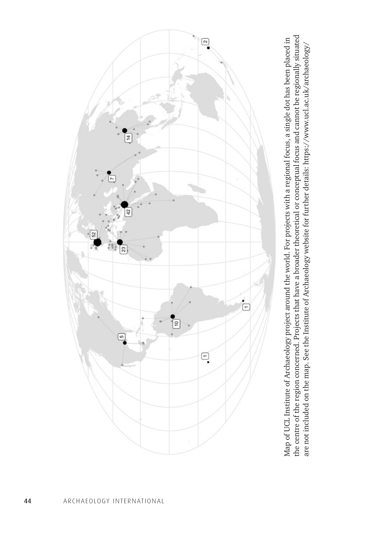

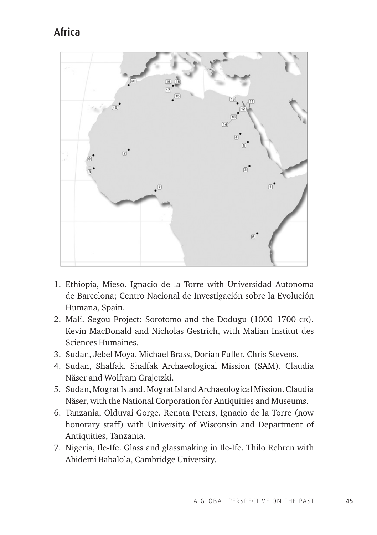# Africa



- 1. Ethiopia, Mieso. Ignacio de la Torre with Universidad Autonoma de Barcelona; Centro Nacional de Investigación sobre la Evolución Humana, Spain.
- 2. Mali. Segou Project: Sorotomo and the Dodugu (1000–1700 ce). Kevin MacDonald and Nicholas Gestrich, with Malian Institut des Sciences Humaines.
- 3. Sudan, Jebel Moya. Michael Brass, Dorian Fuller, Chris Stevens.
- 4. Sudan, Shalfak. Shalfak Archaeological Mission (SAM). Claudia Näser and Wolfram Grajetzki.
- 5. Sudan, Mograt Island. Mograt Island Archaeological Mission. Claudia Näser, with the National Corporation for Antiquities and Museums.
- 6. Tanzania, Olduvai Gorge. Renata Peters, Ignacio de la Torre (now honorary staff) with University of Wisconsin and Department of Antiquities, Tanzania.
- 7. Nigeria, Ile-Ife. Glass and glassmaking in Ile-Ife. Thilo Rehren with Abidemi Babalola, Cambridge University.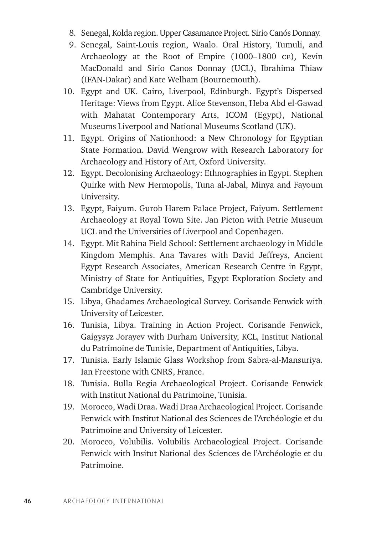- 8. Senegal, Kolda region. Upper Casamance Project. Sirio Canós Donnay.
- 9. Senegal, Saint-Louis region, Waalo. Oral History, Tumuli, and Archaeology at the Root of Empire (1000–1800 ce), Kevin MacDonald and Sirio Canos Donnay (UCL), Ibrahima Thiaw (IFAN-Dakar) and Kate Welham (Bournemouth).
- 10. Egypt and UK. Cairo, Liverpool, Edinburgh. Egypt's Dispersed Heritage: Views from Egypt. Alice Stevenson, Heba Abd el-Gawad with Mahatat Contemporary Arts, ICOM (Egypt), National Museums Liverpool and National Museums Scotland (UK).
- 11. Egypt. Origins of Nationhood: a New Chronology for Egyptian State Formation. David Wengrow with Research Laboratory for Archaeology and History of Art, Oxford University.
- 12. Egypt. Decolonising Archaeology: Ethnographies in Egypt. Stephen Quirke with New Hermopolis, Tuna al-Jabal, Minya and Fayoum University.
- 13. Egypt, Faiyum. Gurob Harem Palace Project, Faiyum. Settlement Archaeology at Royal Town Site. Jan Picton with Petrie Museum UCL and the Universities of Liverpool and Copenhagen.
- 14. Egypt. Mit Rahina Field School: Settlement archaeology in Middle Kingdom Memphis. Ana Tavares with David Jeffreys, Ancient Egypt Research Associates, American Research Centre in Egypt, Ministry of State for Antiquities, Egypt Exploration Society and Cambridge University.
- 15. Libya, Ghadames Archaeological Survey. Corisande Fenwick with University of Leicester.
- 16. Tunisia, Libya. Training in Action Project. Corisande Fenwick, Gaigysyz Jorayev with Durham University, KCL, Institut National du Patrimoine de Tunisie, Department of Antiquities, Libya.
- 17. Tunisia. Early Islamic Glass Workshop from Sabra-al-Mansuriya. Ian Freestone with CNRS, France.
- 18. Tunisia. Bulla Regia Archaeological Project. Corisande Fenwick with Institut National du Patrimoine, Tunisia.
- 19. Morocco, Wadi Draa. Wadi Draa Archaeological Project. Corisande Fenwick with Institut National des Sciences de l'Archéologie et du Patrimoine and University of Leicester.
- 20. Morocco, Volubilis. Volubilis Archaeological Project. Corisande Fenwick with Insitut National des Sciences de l'Archéologie et du Patrimoine.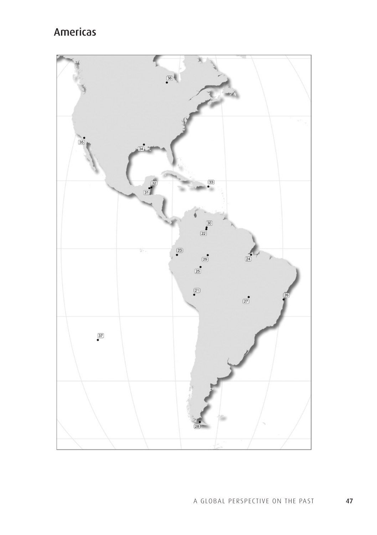# Americas

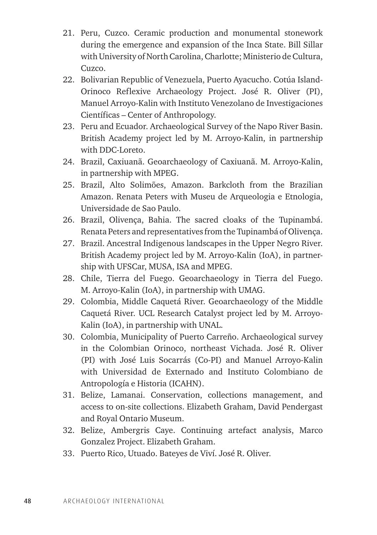- 21. Peru, Cuzco. Ceramic production and monumental stonework during the emergence and expansion of the Inca State. Bill Sillar with University of North Carolina, Charlotte; Ministerio de Cultura, Cuzco.
- 22. Bolivarian Republic of Venezuela, Puerto Ayacucho. Cotúa Island-Orinoco Reflexive Archaeology Project. José R. Oliver (PI), Manuel Arroyo-Kalin with Instituto Venezolano de Investigaciones Científicas – Center of Anthropology.
- 23. Peru and Ecuador. Archaeological Survey of the Napo River Basin. British Academy project led by M. Arroyo-Kalin, in partnership with DDC-Loreto.
- 24. Brazil, Caxiuanã. Geoarchaeology of Caxiuanã. M. Arroyo-Kalin, in partnership with MPEG.
- 25. Brazil, Alto Solimões, Amazon. Barkcloth from the Brazilian Amazon. Renata Peters with Museu de Arqueologia e Etnologia, Universidade de Sao Paulo.
- 26. Brazil, Olivença, Bahia. The sacred cloaks of the Tupinambá. Renata Peters and representatives from the Tupinambá of Olivença.
- 27. Brazil. Ancestral Indigenous landscapes in the Upper Negro River. British Academy project led by M. Arroyo-Kalin (IoA), in partnership with UFSCar, MUSA, ISA and MPEG.
- 28. Chile, Tierra del Fuego. Geoarchaeology in Tierra del Fuego. M. Arroyo-Kalin (IoA), in partnership with UMAG.
- 29. Colombia, Middle Caquetá River. Geoarchaeology of the Middle Caquetá River. UCL Research Catalyst project led by M. Arroyo-Kalin (IoA), in partnership with UNAL.
- 30. Colombia, Municipality of Puerto Carreño. Archaeological survey in the Colombian Orinoco, northeast Vichada. José R. Oliver (PI) with José Luis Socarrás (Co-PI) and Manuel Arroyo-Kalin with Universidad de Externado and Instituto Colombiano de Antropología e Historia (ICAHN).
- 31. Belize, Lamanai. Conservation, collections management, and access to on-site collections. Elizabeth Graham, David Pendergast and Royal Ontario Museum.
- 32. Belize, Ambergris Caye. Continuing artefact analysis, Marco Gonzalez Project. Elizabeth Graham.
- 33. Puerto Rico, Utuado. Bateyes de Viví. José R. Oliver.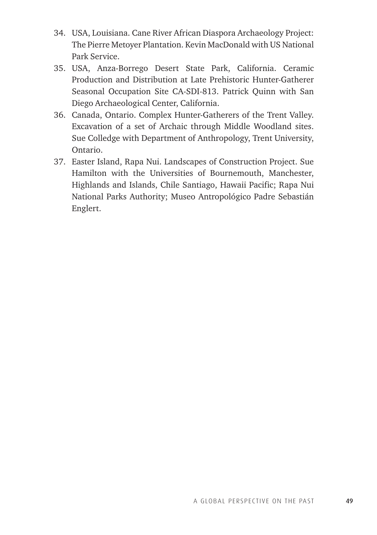- 34. USA, Louisiana. Cane River African Diaspora Archaeology Project: The Pierre Metoyer Plantation. Kevin MacDonald with US National Park Service.
- 35. USA, Anza-Borrego Desert State Park, California. Ceramic Production and Distribution at Late Prehistoric Hunter-Gatherer Seasonal Occupation Site CA-SDI-813. Patrick Quinn with San Diego Archaeological Center, California.
- 36. Canada, Ontario. Complex Hunter-Gatherers of the Trent Valley. Excavation of a set of Archaic through Middle Woodland sites. Sue Colledge with Department of Anthropology, Trent University, Ontario.
- 37. Easter Island, Rapa Nui. Landscapes of Construction Project. Sue Hamilton with the Universities of Bournemouth, Manchester, Highlands and Islands, Chile Santiago, Hawaii Pacific; Rapa Nui National Parks Authority; Museo Antropológico Padre Sebastián Englert.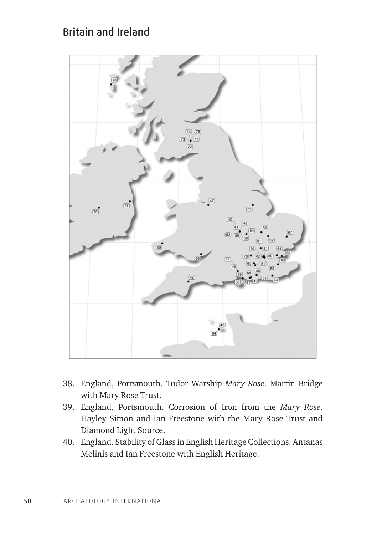## Britain and Ireland



- 38. England, Portsmouth. Tudor Warship *Mary Rose*. Martin Bridge with Mary Rose Trust.
- 39. England, Portsmouth. Corrosion of Iron from the *Mary Rose*. Hayley Simon and Ian Freestone with the Mary Rose Trust and Diamond Light Source.
- 40. England. Stability of Glass in English Heritage Collections. Antanas Melinis and Ian Freestone with English Heritage.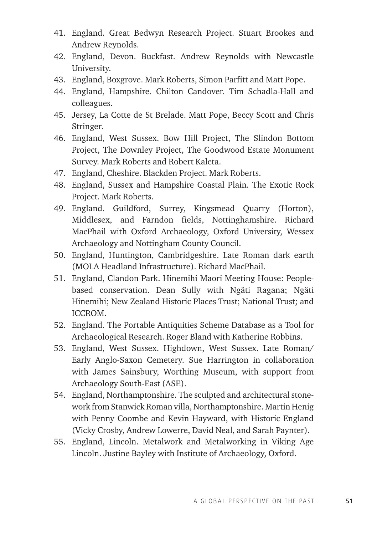- 41. England. Great Bedwyn Research Project. Stuart Brookes and Andrew Reynolds.
- 42. England, Devon. Buckfast. Andrew Reynolds with Newcastle University.
- 43. England, Boxgrove. Mark Roberts, Simon Parfitt and Matt Pope.
- 44. England, Hampshire. Chilton Candover. Tim Schadla-Hall and colleagues.
- 45. Jersey, La Cotte de St Brelade. Matt Pope, Beccy Scott and Chris Stringer.
- 46. England, West Sussex. Bow Hill Project, The Slindon Bottom Project, The Downley Project, The Goodwood Estate Monument Survey. Mark Roberts and Robert Kaleta.
- 47. England, Cheshire. Blackden Project. Mark Roberts.
- 48. England, Sussex and Hampshire Coastal Plain. The Exotic Rock Project. Mark Roberts.
- 49. England. Guildford, Surrey, Kingsmead Quarry (Horton), Middlesex, and Farndon fields, Nottinghamshire. Richard MacPhail with Oxford Archaeology, Oxford University, Wessex Archaeology and Nottingham County Council.
- 50. England, Huntington, Cambridgeshire. Late Roman dark earth (MOLA Headland Infrastructure). Richard MacPhail.
- 51. England, Clandon Park. Hinemihi Maori Meeting House: Peoplebased conservation. Dean Sully with Ngäti Ragana; Ngäti Hinemihi; New Zealand Historic Places Trust; National Trust; and ICCROM.
- 52. England. The Portable Antiquities Scheme Database as a Tool for Archaeological Research. Roger Bland with Katherine Robbins.
- 53. England, West Sussex. Highdown, West Sussex. Late Roman/ Early Anglo-Saxon Cemetery. Sue Harrington in collaboration with James Sainsbury, Worthing Museum, with support from Archaeology South-East (ASE).
- 54. England, Northamptonshire. The sculpted and architectural stonework from Stanwick Roman villa, Northamptonshire. Martin Henig with Penny Coombe and Kevin Hayward, with Historic England (Vicky Crosby, Andrew Lowerre, David Neal, and Sarah Paynter).
- 55. England, Lincoln. Metalwork and Metalworking in Viking Age Lincoln. Justine Bayley with Institute of Archaeology, Oxford.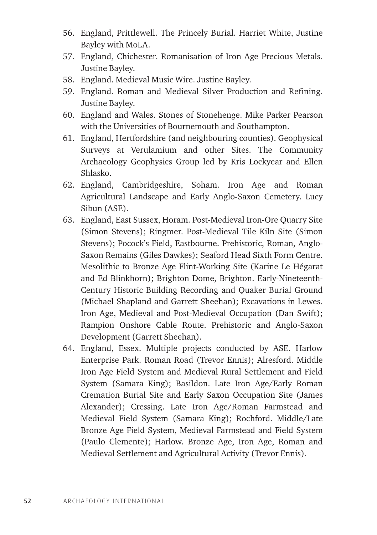- 56. England, Prittlewell. The Princely Burial. Harriet White, Justine Bayley with MoLA.
- 57. England, Chichester. Romanisation of Iron Age Precious Metals. Justine Bayley.
- 58. England. Medieval Music Wire. Justine Bayley.
- 59. England. Roman and Medieval Silver Production and Refining. Justine Bayley.
- 60. England and Wales. Stones of Stonehenge. Mike Parker Pearson with the Universities of Bournemouth and Southampton.
- 61. England, Hertfordshire (and neighbouring counties). Geophysical Surveys at Verulamium and other Sites. The Community Archaeology Geophysics Group led by Kris Lockyear and Ellen Shlasko.
- 62. England, Cambridgeshire, Soham. Iron Age and Roman Agricultural Landscape and Early Anglo-Saxon Cemetery. Lucy Sibun (ASE).
- 63. England, East Sussex, Horam. Post-Medieval Iron-Ore Quarry Site (Simon Stevens); Ringmer. Post-Medieval Tile Kiln Site (Simon Stevens); Pocock's Field, Eastbourne. Prehistoric, Roman, Anglo-Saxon Remains (Giles Dawkes); Seaford Head Sixth Form Centre. Mesolithic to Bronze Age Flint-Working Site (Karine Le Hégarat and Ed Blinkhorn); Brighton Dome, Brighton. Early-Nineteenth-Century Historic Building Recording and Quaker Burial Ground (Michael Shapland and Garrett Sheehan); Excavations in Lewes. Iron Age, Medieval and Post-Medieval Occupation (Dan Swift); Rampion Onshore Cable Route. Prehistoric and Anglo-Saxon Development (Garrett Sheehan).
- 64. England, Essex. Multiple projects conducted by ASE. Harlow Enterprise Park. Roman Road (Trevor Ennis); Alresford. Middle Iron Age Field System and Medieval Rural Settlement and Field System (Samara King); Basildon. Late Iron Age/Early Roman Cremation Burial Site and Early Saxon Occupation Site (James Alexander); Cressing. Late Iron Age/Roman Farmstead and Medieval Field System (Samara King); Rochford. Middle/Late Bronze Age Field System, Medieval Farmstead and Field System (Paulo Clemente); Harlow. Bronze Age, Iron Age, Roman and Medieval Settlement and Agricultural Activity (Trevor Ennis).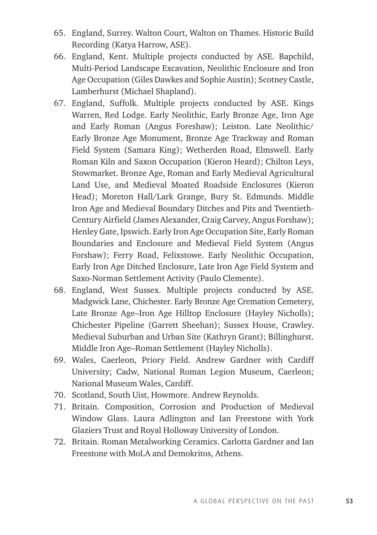- 65. England, Surrey. Walton Court, Walton on Thames. Historic Build Recording (Katya Harrow, ASE).
- 66. England, Kent. Multiple projects conducted by ASE. Bapchild, Multi-Period Landscape Excavation, Neolithic Enclosure and Iron Age Occupation (Giles Dawkes and Sophie Austin); Scotney Castle, Lamberhurst (Michael Shapland).
- 67. England, Suffolk. Multiple projects conducted by ASE. Kings Warren, Red Lodge. Early Neolithic, Early Bronze Age, Iron Age and Early Roman (Angus Foreshaw); Leiston. Late Neolithic/ Early Bronze Age Monument, Bronze Age Trackway and Roman Field System (Samara King); Wetherden Road, Elmswell. Early Roman Kiln and Saxon Occupation (Kieron Heard); Chilton Leys, Stowmarket. Bronze Age, Roman and Early Medieval Agricultural Land Use, and Medieval Moated Roadside Enclosures (Kieron Head); Moreton Hall/Lark Grange, Bury St. Edmunds. Middle Iron Age and Medieval Boundary Ditches and Pits and Twentieth-Century Airfield (James Alexander, Craig Carvey, Angus Forshaw); Henley Gate, Ipswich. Early Iron Age Occupation Site, Early Roman Boundaries and Enclosure and Medieval Field System (Angus Forshaw); Ferry Road, Felixstowe. Early Neolithic Occupation, Early Iron Age Ditched Enclosure, Late Iron Age Field System and Saxo-Norman Settlement Activity (Paulo Clemente).
- 68. England, West Sussex. Multiple projects conducted by ASE. Madgwick Lane, Chichester. Early Bronze Age Cremation Cemetery, Late Bronze Age–Iron Age Hilltop Enclosure (Hayley Nicholls); Chichester Pipeline (Garrett Sheehan); Sussex House, Crawley. Medieval Suburban and Urban Site (Kathryn Grant); Billinghurst. Middle Iron Age–Roman Settlement (Hayley Nicholls).
- 69. Wales, Caerleon, Priory Field. Andrew Gardner with Cardiff University; Cadw, National Roman Legion Museum, Caerleon; National Museum Wales, Cardiff.
- 70. Scotland, South Uist, Howmore. Andrew Reynolds.
- 71. Britain. Composition, Corrosion and Production of Medieval Window Glass. Laura Adlington and Ian Freestone with York Glaziers Trust and Royal Holloway University of London.
- 72. Britain. Roman Metalworking Ceramics. Carlotta Gardner and Ian Freestone with MoLA and Demokritos, Athens.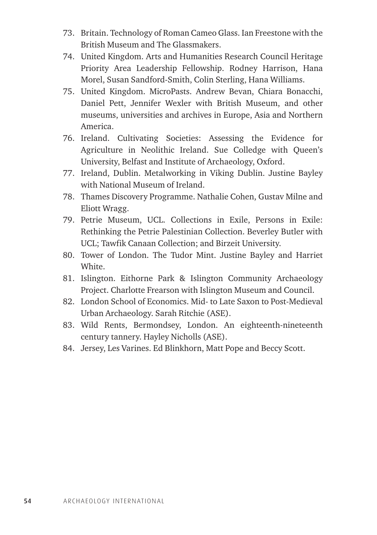- 73. Britain. Technology of Roman Cameo Glass. Ian Freestone with the British Museum and The Glassmakers.
- 74. United Kingdom. Arts and Humanities Research Council Heritage Priority Area Leadership Fellowship. Rodney Harrison, Hana Morel, Susan Sandford-Smith, Colin Sterling, Hana Williams.
- 75. United Kingdom. MicroPasts. Andrew Bevan, Chiara Bonacchi, Daniel Pett, Jennifer Wexler with British Museum, and other museums, universities and archives in Europe, Asia and Northern America.
- 76. Ireland. Cultivating Societies: Assessing the Evidence for Agriculture in Neolithic Ireland. Sue Colledge with Queen's University, Belfast and Institute of Archaeology, Oxford.
- 77. Ireland, Dublin. Metalworking in Viking Dublin. Justine Bayley with National Museum of Ireland.
- 78. Thames Discovery Programme. Nathalie Cohen, Gustav Milne and Eliott Wragg.
- 79. Petrie Museum, UCL. Collections in Exile, Persons in Exile: Rethinking the Petrie Palestinian Collection. Beverley Butler with UCL; Tawfik Canaan Collection; and Birzeit University.
- 80. Tower of London. The Tudor Mint. Justine Bayley and Harriet White.
- 81. Islington. Eithorne Park & Islington Community Archaeology Project. Charlotte Frearson with Islington Museum and Council.
- 82. London School of Economics. Mid- to Late Saxon to Post-Medieval Urban Archaeology. Sarah Ritchie (ASE).
- 83. Wild Rents, Bermondsey, London. An eighteenth-nineteenth century tannery. Hayley Nicholls (ASE).
- 84. Jersey, Les Varines. Ed Blinkhorn, Matt Pope and Beccy Scott.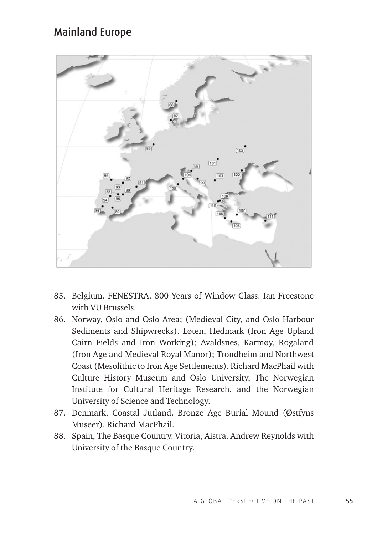### Mainland Europe



- 85. Belgium. FENESTRA. 800 Years of Window Glass. Ian Freestone with VU Brussels.
- 86. Norway, Oslo and Oslo Area; (Medieval City, and Oslo Harbour Sediments and Shipwrecks). Løten, Hedmark (Iron Age Upland Cairn Fields and Iron Working); Avaldsnes, Karmøy, Rogaland (Iron Age and Medieval Royal Manor); Trondheim and Northwest Coast (Mesolithic to Iron Age Settlements). Richard MacPhail with Culture History Museum and Oslo University, The Norwegian Institute for Cultural Heritage Research, and the Norwegian University of Science and Technology.
- 87. Denmark, Coastal Jutland. Bronze Age Burial Mound (Østfyns Museer). Richard MacPhail.
- 88. Spain, The Basque Country. Vitoria, Aistra. Andrew Reynolds with University of the Basque Country.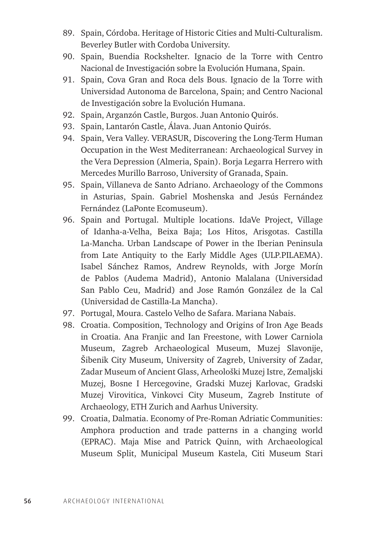- 89. Spain, Córdoba. Heritage of Historic Cities and Multi-Culturalism. Beverley Butler with Cordoba University.
- 90. Spain, Buendia Rockshelter. Ignacio de la Torre with Centro Nacional de Investigación sobre la Evolución Humana, Spain.
- 91. Spain, Cova Gran and Roca dels Bous. Ignacio de la Torre with Universidad Autonoma de Barcelona, Spain; and Centro Nacional de Investigación sobre la Evolución Humana.
- 92. Spain, Arganzón Castle, Burgos. Juan Antonio Quirós.
- 93. Spain, Lantarón Castle, Álava. Juan Antonio Quirós.
- 94. Spain, Vera Valley. VERASUR, Discovering the Long-Term Human Occupation in the West Mediterranean: Archaeological Survey in the Vera Depression (Almeria, Spain). Borja Legarra Herrero with Mercedes Murillo Barroso, University of Granada, Spain.
- 95. Spain, Villaneva de Santo Adriano. Archaeology of the Commons in Asturias, Spain. Gabriel Moshenska and Jesús Fernández Fernández (LaPonte Ecomuseum).
- 96. Spain and Portugal. Multiple locations. IdaVe Project, Village of Idanha-a-Velha, Beixa Baja; Los Hitos, Arisgotas. Castilla La-Mancha. Urban Landscape of Power in the Iberian Peninsula from Late Antiquity to the Early Middle Ages (ULP.PILAEMA). Isabel Sánchez Ramos, Andrew Reynolds, with Jorge Morín de Pablos (Audema Madrid), Antonio Malalana (Universidad San Pablo Ceu, Madrid) and Jose Ramón González de la Cal (Universidad de Castilla-La Mancha).
- 97. Portugal, Moura. Castelo Velho de Safara. Mariana Nabais.
- 98. Croatia. Composition, Technology and Origins of Iron Age Beads in Croatia. Ana Franjic and Ian Freestone, with Lower Carniola Museum, Zagreb Archaeological Museum, Muzej Slavonije, Šibenik City Museum, University of Zagreb, University of Zadar, Zadar Museum of Ancient Glass, Arheološki Muzej Istre, Zemaljski Muzej, Bosne I Hercegovine, Gradski Muzej Karlovac, Gradski Muzej Virovitica, Vinkovci City Museum, Zagreb Institute of Archaeology, ETH Zurich and Aarhus University.
- 99. Croatia, Dalmatia. Economy of Pre-Roman Adriatic Communities: Amphora production and trade patterns in a changing world (EPRAC). Maja Mise and Patrick Quinn, with Archaeological Museum Split, Municipal Museum Kastela, Citi Museum Stari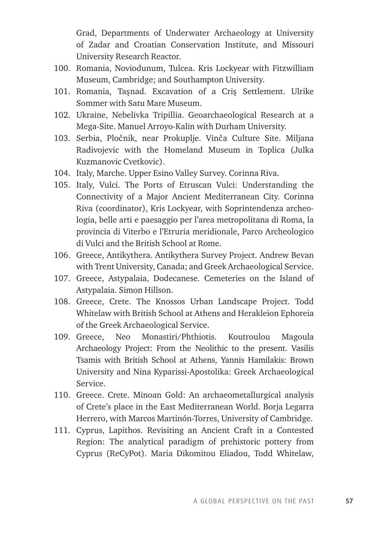Grad, Departments of Underwater Archaeology at University of Zadar and Croatian Conservation Institute, and Missouri University Research Reactor.

- 100. Romania, Noviodunum, Tulcea. Kris Lockyear with Fitzwilliam Museum, Cambridge; and Southampton University.
- 101. Romania, Tasnad. Excavation of a Cris Settlement. Ulrike Sommer with Satu Mare Museum.
- 102. Ukraine, Nebelivka Tripillia. Geoarchaeological Research at a Mega-Site. Manuel Arroyo-Kalin with Durham University.
- 103. Serbia, Pločnik, near Prokuplje. Vinča Culture Site. Miljana Radivojevic with the Homeland Museum in Toplica (Julka Kuzmanovic Cvetkovic).
- 104. Italy, Marche. Upper Esino Valley Survey. Corinna Riva.
- 105. Italy, Vulci. The Ports of Etruscan Vulci: Understanding the Connectivity of a Major Ancient Mediterranean City. Corinna Riva (coordinator), Kris Lockyear, with Soprintendenza archeologia, belle arti e paesaggio per l'area metropolitana di Roma, la provincia di Viterbo e l'Etruria meridionale, Parco Archeologico di Vulci and the British School at Rome.
- 106. Greece, Antikythera. Antikythera Survey Project. Andrew Bevan with Trent University, Canada; and Greek Archaeological Service.
- 107. Greece, Astypalaia, Dodecanese. Cemeteries on the Island of Astypalaia. Simon Hillson.
- 108. Greece, Crete. The Knossos Urban Landscape Project. Todd Whitelaw with British School at Athens and Herakleion Ephoreia of the Greek Archaeological Service.
- 109. Greece, Neo Monastiri/Phthiotis. Koutroulou Magoula Archaeology Project: From the Neolithic to the present. Vasilis Tsamis with British School at Athens, Yannis Hamilakis: Brown University and Nina Kyparissi-Apostolika: Greek Archaeological Service.
- 110. Greece. Crete. Minoan Gold: An archaeometallurgical analysis of Crete's place in the East Mediterranean World. Borja Legarra Herrero, with Marcos Martinón-Torres, University of Cambridge.
- 111. Cyprus, Lapithos. Revisiting an Ancient Craft in a Contested Region: The analytical paradigm of prehistoric pottery from Cyprus (ReCyPot). Maria Dikomitou Eliadou, Todd Whitelaw,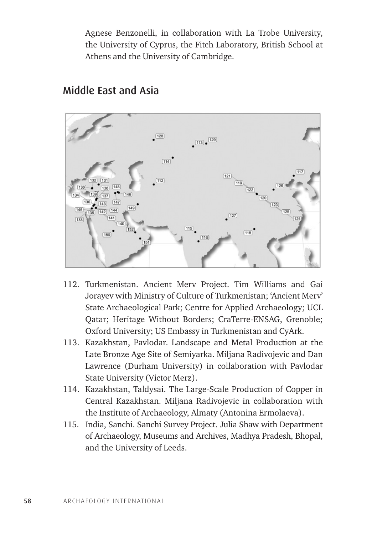Agnese Benzonelli, in collaboration with La Trobe University, the University of Cyprus, the Fitch Laboratory, British School at Athens and the University of Cambridge.



#### Middle East and Asia

- 112. Turkmenistan. Ancient Merv Project. Tim Williams and Gai Jorayev with Ministry of Culture of Turkmenistan; 'Ancient Merv' State Archaeological Park; Centre for Applied Archaeology; UCL Qatar; Heritage Without Borders; CraTerre-ENSAG, Grenoble; Oxford University; US Embassy in Turkmenistan and CyArk.
- 113. Kazakhstan, Pavlodar. Landscape and Metal Production at the Late Bronze Age Site of Semiyarka. Miljana Radivojevic and Dan Lawrence (Durham University) in collaboration with Pavlodar State University (Victor Merz).
- 114. Kazakhstan, Taldysai. The Large-Scale Production of Copper in Central Kazakhstan. Miljana Radivojevic in collaboration with the Institute of Archaeology, Almaty (Antonina Ermolaeva).
- 115. India, Sanchi. Sanchi Survey Project. Julia Shaw with Department of Archaeology, Museums and Archives, Madhya Pradesh, Bhopal, and the University of Leeds.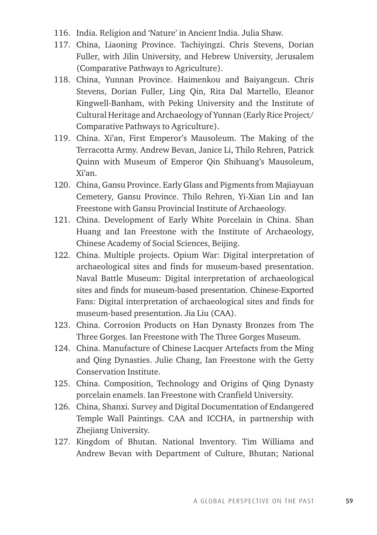- 116. India. Religion and 'Nature' in Ancient India. Julia Shaw.
- 117. China, Liaoning Province. Tachiyingzi. Chris Stevens, Dorian Fuller, with Jilin University, and Hebrew University, Jerusalem (Comparative Pathways to Agriculture).
- 118. China, Yunnan Province. Haimenkou and Baiyangcun. Chris Stevens, Dorian Fuller, Ling Qin, Rita Dal Martello, Eleanor Kingwell-Banham, with Peking University and the Institute of Cultural Heritage and Archaeology of Yunnan (Early Rice Project/ Comparative Pathways to Agriculture).
- 119. China. Xi'an, First Emperor's Mausoleum. The Making of the Terracotta Army. Andrew Bevan, Janice Li, Thilo Rehren, Patrick Quinn with Museum of Emperor Qin Shihuang's Mausoleum, Xi'an.
- 120. China, Gansu Province. Early Glass and Pigments from Majiayuan Cemetery, Gansu Province. Thilo Rehren, Yi-Xian Lin and Ian Freestone with Gansu Provincial Institute of Archaeology.
- 121. China. Development of Early White Porcelain in China. Shan Huang and Ian Freestone with the Institute of Archaeology, Chinese Academy of Social Sciences, Beijing.
- 122. China. Multiple projects. Opium War: Digital interpretation of archaeological sites and finds for museum-based presentation. Naval Battle Museum: Digital interpretation of archaeological sites and finds for museum-based presentation. Chinese-Exported Fans: Digital interpretation of archaeological sites and finds for museum-based presentation. Jia Liu (CAA).
- 123. China. Corrosion Products on Han Dynasty Bronzes from The Three Gorges. Ian Freestone with The Three Gorges Museum.
- 124. China. Manufacture of Chinese Lacquer Artefacts from the Ming and Qing Dynasties. Julie Chang, Ian Freestone with the Getty Conservation Institute.
- 125. China. Composition, Technology and Origins of Qing Dynasty porcelain enamels. Ian Freestone with Cranfield University.
- 126. China, Shanxi. Survey and Digital Documentation of Endangered Temple Wall Paintings. CAA and ICCHA, in partnership with Zhejiang University.
- 127. Kingdom of Bhutan. National Inventory. Tim Williams and Andrew Bevan with Department of Culture, Bhutan; National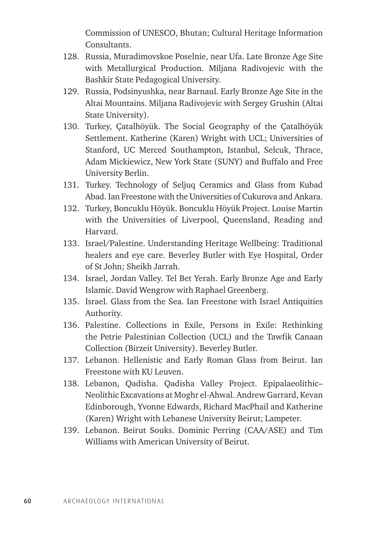Commission of UNESCO, Bhutan; Cultural Heritage Information Consultants.

- 128. Russia, Muradimovskoe Poselnie, near Ufa. Late Bronze Age Site with Metallurgical Production. Miljana Radivojevic with the Bashkir State Pedagogical University.
- 129. Russia, Podsinyushka, near Barnaul. Early Bronze Age Site in the Altai Mountains. Miljana Radivojevic with Sergey Grushin (Altai State University).
- 130. Turkey, Çatalhöyük. The Social Geography of the Çatalhöyük Settlement. Katherine (Karen) Wright with UCL; Universities of Stanford, UC Merced Southampton, Istanbul, Selcuk, Thrace, Adam Mickiewicz, New York State (SUNY) and Buffalo and Free University Berlin.
- 131. Turkey. Technology of Seljuq Ceramics and Glass from Kubad Abad. Ian Freestone with the Universities of Cukurova and Ankara.
- 132. Turkey, Boncuklu Höyük. Boncuklu Höyük Project. Louise Martin with the Universities of Liverpool, Queensland, Reading and Harvard.
- 133. Israel/Palestine. Understanding Heritage Wellbeing: Traditional healers and eye care. Beverley Butler with Eye Hospital, Order of St John; Sheikh Jarrah.
- 134. Israel, Jordan Valley. Tel Bet Yerah. Early Bronze Age and Early Islamic. David Wengrow with Raphael Greenberg.
- 135. Israel. Glass from the Sea. Ian Freestone with Israel Antiquities Authority.
- 136. Palestine. Collections in Exile, Persons in Exile: Rethinking the Petrie Palestinian Collection (UCL) and the Tawfik Canaan Collection (Birzeit University). Beverley Butler.
- 137. Lebanon. Hellenistic and Early Roman Glass from Beirut. Ian Freestone with KU Leuven.
- 138. Lebanon, Qadisha. Qadisha Valley Project. Epipalaeolithic– Neolithic Excavations at Moghr el-Ahwal. Andrew Garrard, Kevan Edinborough, Yvonne Edwards, Richard MacPhail and Katherine (Karen) Wright with Lebanese University Beirut; Lampeter.
- 139. Lebanon. Beirut Souks. Dominic Perring (CAA/ASE) and Tim Williams with American University of Beirut.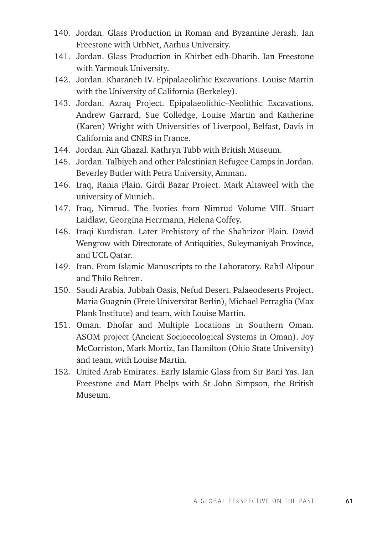- 140. Jordan. Glass Production in Roman and Byzantine Jerash. Ian Freestone with UrbNet, Aarhus University.
- 141. Jordan. Glass Production in Khirbet edh-Dharih. Ian Freestone with Yarmouk University.
- 142. Jordan. Kharaneh IV. Epipalaeolithic Excavations. Louise Martin with the University of California (Berkeley).
- 143. Jordan. Azraq Project. Epipalaeolithic–Neolithic Excavations. Andrew Garrard, Sue Colledge, Louise Martin and Katherine (Karen) Wright with Universities of Liverpool, Belfast, Davis in California and CNRS in France.
- 144. Jordan. Ain Ghazal. Kathryn Tubb with British Museum.
- 145. Jordan. Talbiyeh and other Palestinian Refugee Camps in Jordan. Beverley Butler with Petra University, Amman.
- 146. Iraq, Rania Plain. Girdi Bazar Project. Mark Altaweel with the university of Munich.
- 147. Iraq, Nimrud. The Ivories from Nimrud Volume VIII. Stuart Laidlaw, Georgina Herrmann, Helena Coffey.
- 148. Iraqi Kurdistan. Later Prehistory of the Shahrizor Plain. David Wengrow with Directorate of Antiquities, Suleymaniyah Province, and UCL Qatar.
- 149. Iran. From Islamic Manuscripts to the Laboratory. Rahil Alipour and Thilo Rehren.
- 150. Saudi Arabia. Jubbah Oasis, Nefud Desert. Palaeodeserts Project. Maria Guagnin (Freie Universitat Berlin), Michael Petraglia (Max Plank Institute) and team, with Louise Martin.
- 151. Oman. Dhofar and Multiple Locations in Southern Oman. ASOM project (Ancient Socioecological Systems in Oman). Joy McCorriston, Mark Mortiz, Ian Hamilton (Ohio State University) and team, with Louise Martin.
- 152. United Arab Emirates. Early Islamic Glass from Sir Bani Yas. Ian Freestone and Matt Phelps with St John Simpson, the British Museum.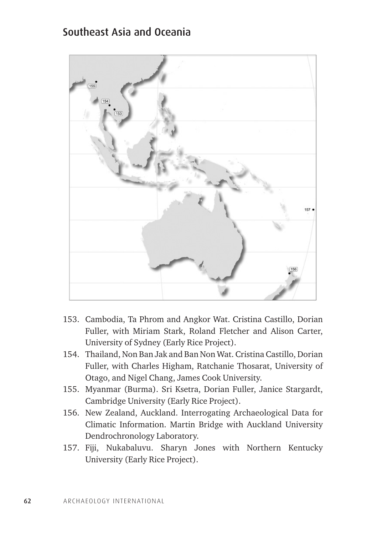#### Southeast Asia and Oceania



- 153. Cambodia, Ta Phrom and Angkor Wat. Cristina Castillo, Dorian Fuller, with Miriam Stark, Roland Fletcher and Alison Carter, University of Sydney (Early Rice Project).
- 154. Thailand, Non Ban Jak and Ban Non Wat. Cristina Castillo, Dorian Fuller, with Charles Higham, Ratchanie Thosarat, University of Otago, and Nigel Chang, James Cook University.
- 155. Myanmar (Burma). Sri Ksetra, Dorian Fuller, Janice Stargardt, Cambridge University (Early Rice Project).
- 156. New Zealand, Auckland. Interrogating Archaeological Data for Climatic Information. Martin Bridge with Auckland University Dendrochronology Laboratory.
- 157. Fiji, Nukabaluvu. Sharyn Jones with Northern Kentucky University (Early Rice Project).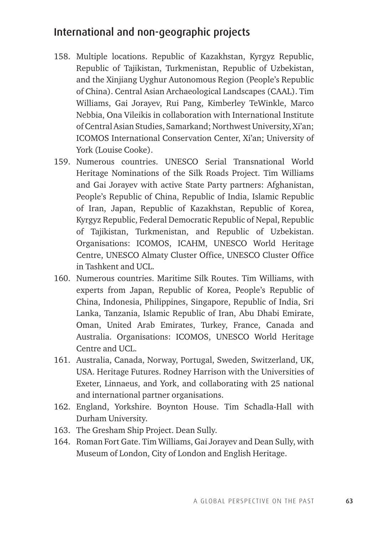## International and non-geographic projects

- 158. Multiple locations. Republic of Kazakhstan, Kyrgyz Republic, Republic of Tajikistan, Turkmenistan, Republic of Uzbekistan, and the Xinjiang Uyghur Autonomous Region (People's Republic of China). Central Asian Archaeological Landscapes (CAAL). Tim Williams, Gai Jorayev, Rui Pang, Kimberley TeWinkle, Marco Nebbia, Ona Vileikis in collaboration with International Institute of Central Asian Studies, Samarkand; Northwest University, Xi'an; ICOMOS International Conservation Center, Xi'an; University of York (Louise Cooke).
- 159. Numerous countries. UNESCO Serial Transnational World Heritage Nominations of the Silk Roads Project. Tim Williams and Gai Jorayev with active State Party partners: Afghanistan, People's Republic of China, Republic of India, Islamic Republic of Iran, Japan, Republic of Kazakhstan, Republic of Korea, Kyrgyz Republic, Federal Democratic Republic of Nepal, Republic of Tajikistan, Turkmenistan, and Republic of Uzbekistan. Organisations: ICOMOS, ICAHM, UNESCO World Heritage Centre, UNESCO Almaty Cluster Office, UNESCO Cluster Office in Tashkent and UCL.
- 160. Numerous countries. Maritime Silk Routes. Tim Williams, with experts from Japan, Republic of Korea, People's Republic of China, Indonesia, Philippines, Singapore, Republic of India, Sri Lanka, Tanzania, Islamic Republic of Iran, Abu Dhabi Emirate, Oman, United Arab Emirates, Turkey, France, Canada and Australia. Organisations: ICOMOS, UNESCO World Heritage Centre and UCL.
- 161. Australia, Canada, Norway, Portugal, Sweden, Switzerland, UK, USA. Heritage Futures. Rodney Harrison with the Universities of Exeter, Linnaeus, and York, and collaborating with 25 national and international partner organisations.
- 162. England, Yorkshire. Boynton House. Tim Schadla-Hall with Durham University.
- 163. The Gresham Ship Project. Dean Sully.
- 164. Roman Fort Gate. Tim Williams, Gai Jorayev and Dean Sully, with Museum of London, City of London and English Heritage.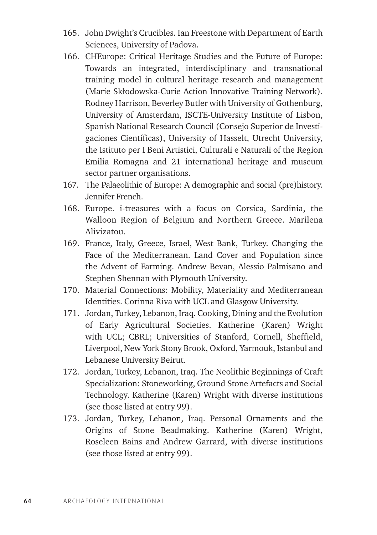- 165. John Dwight's Crucibles. Ian Freestone with Department of Earth Sciences, University of Padova.
- 166. CHEurope: Critical Heritage Studies and the Future of Europe: Towards an integrated, interdisciplinary and transnational training model in cultural heritage research and management (Marie Skłodowska-Curie Action Innovative Training Network). Rodney Harrison, Beverley Butler with University of Gothenburg, University of Amsterdam, ISCTE-University Institute of Lisbon, Spanish National Research Council (Consejo Superior de Investigaciones Científicas), University of Hasselt, Utrecht University, the Istituto per I Beni Artistici, Culturali e Naturali of the Region Emilia Romagna and 21 international heritage and museum sector partner organisations.
- 167. The Palaeolithic of Europe: A demographic and social (pre)history. Jennifer French.
- 168. Europe. i-treasures with a focus on Corsica, Sardinia, the Walloon Region of Belgium and Northern Greece. Marilena Alivizatou.
- 169. France, Italy, Greece, Israel, West Bank, Turkey. Changing the Face of the Mediterranean. Land Cover and Population since the Advent of Farming. Andrew Bevan, Alessio Palmisano and Stephen Shennan with Plymouth University.
- 170. Material Connections: Mobility, Materiality and Mediterranean Identities. Corinna Riva with UCL and Glasgow University.
- 171. Jordan, Turkey, Lebanon, Iraq. Cooking, Dining and the Evolution of Early Agricultural Societies. Katherine (Karen) Wright with UCL; CBRL; Universities of Stanford, Cornell, Sheffield, Liverpool, New York Stony Brook, Oxford, Yarmouk, Istanbul and Lebanese University Beirut.
- 172. Jordan, Turkey, Lebanon, Iraq. The Neolithic Beginnings of Craft Specialization: Stoneworking, Ground Stone Artefacts and Social Technology. Katherine (Karen) Wright with diverse institutions (see those listed at entry 99).
- 173. Jordan, Turkey, Lebanon, Iraq. Personal Ornaments and the Origins of Stone Beadmaking. Katherine (Karen) Wright, Roseleen Bains and Andrew Garrard, with diverse institutions (see those listed at entry 99).